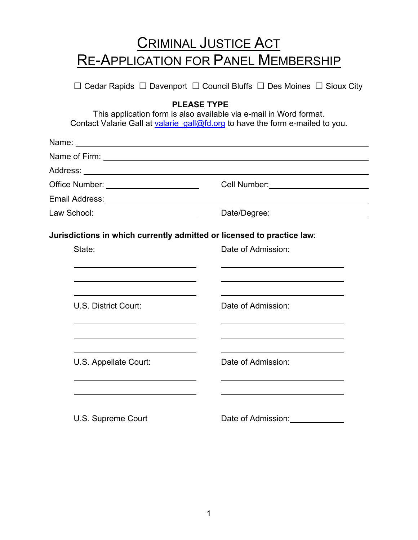## CRIMINAL JUSTICE ACT RE-APPLICATION FOR PANEL MEMBERSHIP

□ Cedar Rapids □ Davenport □ Council Bluffs □ Des Moines □ Sioux City

## **PLEASE TYPE**

This application form is also available via e-mail in Word format. Contact Valarie Gall at valarie  $gall@fd.org$  to have the form e-mailed to you.

| Office Number: ______________________   | Cell Number: ________________________                                  |
|-----------------------------------------|------------------------------------------------------------------------|
| Email Address: <u>www.community.com</u> |                                                                        |
| Law School: _________________________   |                                                                        |
|                                         | Jurisdictions in which currently admitted or licensed to practice law: |
| State:                                  | Date of Admission:                                                     |
|                                         |                                                                        |
| U.S. District Court:                    | Date of Admission:                                                     |
|                                         | Date of Admission:                                                     |
| U.S. Appellate Court:                   |                                                                        |
| U.S. Supreme Court                      | Date of Admission:                                                     |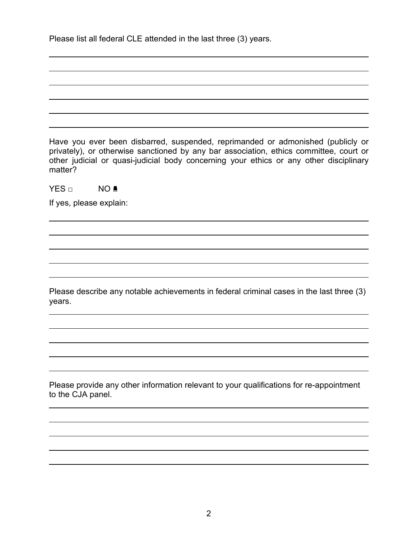| Have you ever been disbarred, suspended, reprimanded or admonished (publicly or<br>privately), or otherwise sanctioned by any bar association, ethics committee, court or<br>other judicial or quasi-judicial body concerning your ethics or any other disciplinary<br>matter? |
|--------------------------------------------------------------------------------------------------------------------------------------------------------------------------------------------------------------------------------------------------------------------------------|
| NO <sup>1</sup><br>YES □                                                                                                                                                                                                                                                       |
| If yes, please explain:                                                                                                                                                                                                                                                        |
|                                                                                                                                                                                                                                                                                |
|                                                                                                                                                                                                                                                                                |
|                                                                                                                                                                                                                                                                                |
|                                                                                                                                                                                                                                                                                |
| Please describe any notable achievements in federal criminal cases in the last three (3)<br>years.                                                                                                                                                                             |
|                                                                                                                                                                                                                                                                                |
|                                                                                                                                                                                                                                                                                |
|                                                                                                                                                                                                                                                                                |
|                                                                                                                                                                                                                                                                                |
| Please provide any other information relevant to your qualifications for re-appointment<br>to the CJA panel.                                                                                                                                                                   |
|                                                                                                                                                                                                                                                                                |
|                                                                                                                                                                                                                                                                                |
|                                                                                                                                                                                                                                                                                |